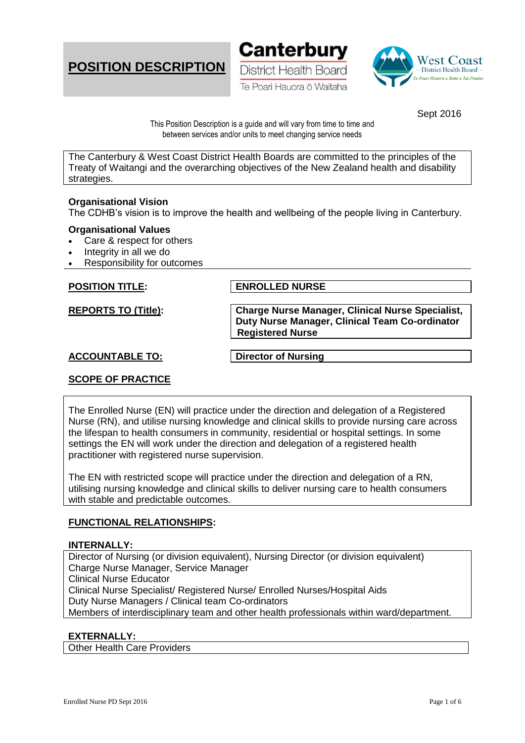





Sept 2016

This Position Description is a guide and will vary from time to time and between services and/or units to meet changing service needs

The Canterbury & West Coast District Health Boards are committed to the principles of the Treaty of Waitangi and the overarching objectives of the New Zealand health and disability strategies.

#### **Organisational Vision**

The CDHB's vision is to improve the health and wellbeing of the people living in Canterbury.

#### **Organisational Values**

- Care & respect for others
- Integrity in all we do
- Responsibility for outcomes

**POSITION TITLE: ENROLLED NURSE** 

**REPORTS TO (Title): Charge Nurse Manager, Clinical Nurse Specialist, Duty Nurse Manager, Clinical Team Co-ordinator Registered Nurse**

## **ACCOUNTABLE TO: Director of Nursing**

# **SCOPE OF PRACTICE**

The Enrolled Nurse (EN) will practice under the direction and delegation of a Registered Nurse (RN), and utilise nursing knowledge and clinical skills to provide nursing care across the lifespan to health consumers in community, residential or hospital settings. In some settings the EN will work under the direction and delegation of a registered health practitioner with registered nurse supervision.

The EN with restricted scope will practice under the direction and delegation of a RN, utilising nursing knowledge and clinical skills to deliver nursing care to health consumers with stable and predictable outcomes.

## **FUNCTIONAL RELATIONSHIPS:**

#### **INTERNALLY:**

Director of Nursing (or division equivalent), Nursing Director (or division equivalent) Charge Nurse Manager, Service Manager Clinical Nurse Educator Clinical Nurse Specialist/ Registered Nurse/ Enrolled Nurses/Hospital Aids Duty Nurse Managers / Clinical team Co-ordinators Members of interdisciplinary team and other health professionals within ward/department.

## **EXTERNALLY:**

Other Health Care Providers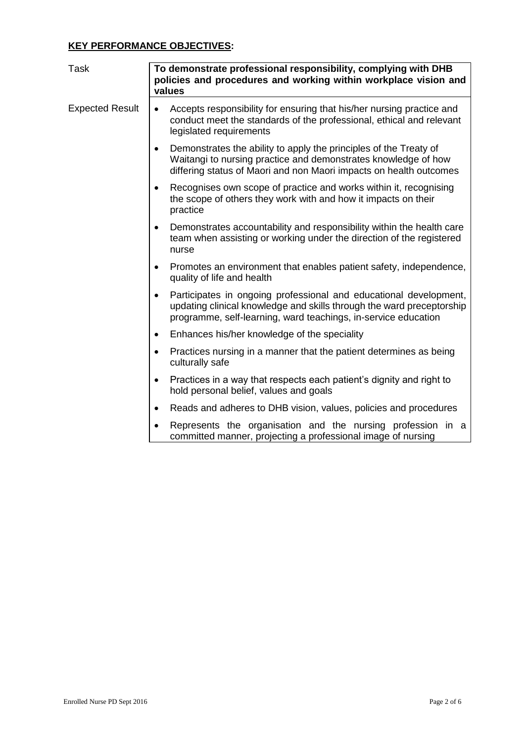# **KEY PERFORMANCE OBJECTIVES:**

| <b>Task</b>            | To demonstrate professional responsibility, complying with DHB<br>policies and procedures and working within workplace vision and<br>values                                                                               |
|------------------------|---------------------------------------------------------------------------------------------------------------------------------------------------------------------------------------------------------------------------|
| <b>Expected Result</b> | Accepts responsibility for ensuring that his/her nursing practice and<br>$\bullet$<br>conduct meet the standards of the professional, ethical and relevant<br>legislated requirements                                     |
|                        | Demonstrates the ability to apply the principles of the Treaty of<br>$\bullet$<br>Waitangi to nursing practice and demonstrates knowledge of how<br>differing status of Maori and non Maori impacts on health outcomes    |
|                        | Recognises own scope of practice and works within it, recognising<br>$\bullet$<br>the scope of others they work with and how it impacts on their<br>practice                                                              |
|                        | Demonstrates accountability and responsibility within the health care<br>٠<br>team when assisting or working under the direction of the registered<br>nurse                                                               |
|                        | Promotes an environment that enables patient safety, independence,<br>$\bullet$<br>quality of life and health                                                                                                             |
|                        | Participates in ongoing professional and educational development,<br>$\bullet$<br>updating clinical knowledge and skills through the ward preceptorship<br>programme, self-learning, ward teachings, in-service education |
|                        | Enhances his/her knowledge of the speciality<br>$\bullet$                                                                                                                                                                 |
|                        | Practices nursing in a manner that the patient determines as being<br>$\bullet$<br>culturally safe                                                                                                                        |
|                        | Practices in a way that respects each patient's dignity and right to<br>$\bullet$<br>hold personal belief, values and goals                                                                                               |
|                        | Reads and adheres to DHB vision, values, policies and procedures<br>٠                                                                                                                                                     |
|                        | Represents the organisation and the nursing profession in a<br>$\bullet$<br>committed manner, projecting a professional image of nursing                                                                                  |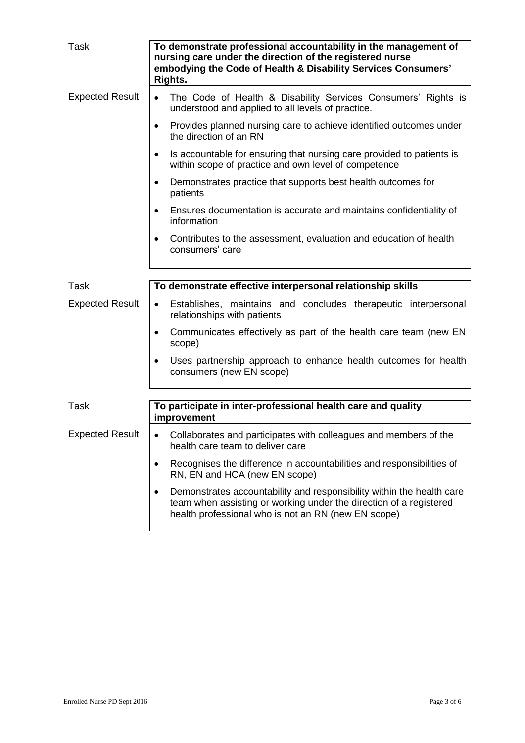| <b>Task</b>            | To demonstrate professional accountability in the management of<br>nursing care under the direction of the registered nurse<br>embodying the Code of Health & Disability Services Consumers'<br>Rights.         |
|------------------------|-----------------------------------------------------------------------------------------------------------------------------------------------------------------------------------------------------------------|
| <b>Expected Result</b> | The Code of Health & Disability Services Consumers' Rights is<br>$\bullet$<br>understood and applied to all levels of practice.                                                                                 |
|                        | Provides planned nursing care to achieve identified outcomes under<br>$\bullet$<br>the direction of an RN                                                                                                       |
|                        | Is accountable for ensuring that nursing care provided to patients is<br>$\bullet$<br>within scope of practice and own level of competence                                                                      |
|                        | Demonstrates practice that supports best health outcomes for<br>$\bullet$<br>patients                                                                                                                           |
|                        | Ensures documentation is accurate and maintains confidentiality of<br>$\bullet$<br>information                                                                                                                  |
|                        | Contributes to the assessment, evaluation and education of health<br>$\bullet$<br>consumers' care                                                                                                               |
|                        |                                                                                                                                                                                                                 |
| Task                   | To demonstrate effective interpersonal relationship skills                                                                                                                                                      |
| <b>Expected Result</b> | Establishes, maintains and concludes therapeutic interpersonal<br>$\bullet$<br>relationships with patients                                                                                                      |
|                        | Communicates effectively as part of the health care team (new EN<br>$\bullet$<br>scope)                                                                                                                         |
|                        | Uses partnership approach to enhance health outcomes for health<br>$\bullet$<br>consumers (new EN scope)                                                                                                        |
|                        |                                                                                                                                                                                                                 |
| <b>Task</b>            | To participate in inter-professional health care and quality<br>improvement                                                                                                                                     |
| <b>Expected Result</b> | Collaborates and participates with colleagues and members of the<br>٠<br>health care team to deliver care                                                                                                       |
|                        | Recognises the difference in accountabilities and responsibilities of<br>$\bullet$<br>RN, EN and HCA (new EN scope)                                                                                             |
|                        | Demonstrates accountability and responsibility within the health care<br>$\bullet$<br>team when assisting or working under the direction of a registered<br>health professional who is not an RN (new EN scope) |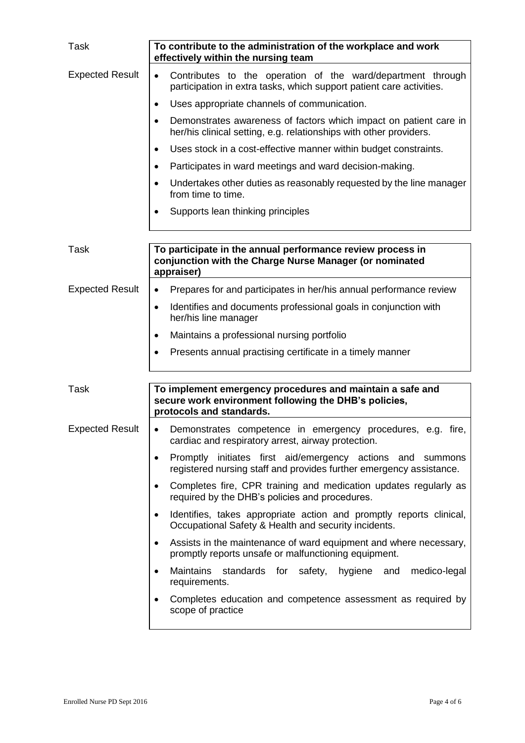| <b>Task</b>            | To contribute to the administration of the workplace and work<br>effectively within the nursing team                                                 |
|------------------------|------------------------------------------------------------------------------------------------------------------------------------------------------|
| <b>Expected Result</b> | Contributes to the operation of the ward/department through<br>$\bullet$<br>participation in extra tasks, which support patient care activities.     |
|                        | Uses appropriate channels of communication.<br>$\bullet$                                                                                             |
|                        | Demonstrates awareness of factors which impact on patient care in<br>$\bullet$<br>her/his clinical setting, e.g. relationships with other providers. |
|                        | Uses stock in a cost-effective manner within budget constraints.<br>$\bullet$                                                                        |
|                        | Participates in ward meetings and ward decision-making.<br>٠                                                                                         |
|                        | Undertakes other duties as reasonably requested by the line manager<br>$\bullet$<br>from time to time.                                               |
|                        | Supports lean thinking principles<br>$\bullet$                                                                                                       |
| Task                   | To participate in the annual performance review process in<br>conjunction with the Charge Nurse Manager (or nominated<br>appraiser)                  |
| <b>Expected Result</b> | Prepares for and participates in her/his annual performance review<br>٠                                                                              |
|                        | Identifies and documents professional goals in conjunction with<br>$\bullet$<br>her/his line manager                                                 |
|                        | Maintains a professional nursing portfolio<br>$\bullet$                                                                                              |
|                        | Presents annual practising certificate in a timely manner<br>$\bullet$                                                                               |
| <b>Task</b>            | To implement emergency procedures and maintain a safe and<br>secure work environment following the DHB's policies,<br>protocols and standards.       |
| <b>Expected Result</b> | Demonstrates competence in emergency procedures, e.g. fire,<br>$\bullet$<br>cardiac and respiratory arrest, airway protection.                       |
|                        | Promptly initiates first aid/emergency actions and<br>summons<br>$\bullet$<br>registered nursing staff and provides further emergency assistance.    |
|                        | Completes fire, CPR training and medication updates regularly as<br>$\bullet$<br>required by the DHB's policies and procedures.                      |
|                        | Identifies, takes appropriate action and promptly reports clinical,<br>$\bullet$<br>Occupational Safety & Health and security incidents.             |
|                        | Assists in the maintenance of ward equipment and where necessary,<br>$\bullet$<br>promptly reports unsafe or malfunctioning equipment.               |
|                        | <b>Maintains</b><br>standards for safety, hygiene and<br>medico-legal<br>$\bullet$<br>requirements.                                                  |
|                        | Completes education and competence assessment as required by<br>$\bullet$<br>scope of practice                                                       |
|                        |                                                                                                                                                      |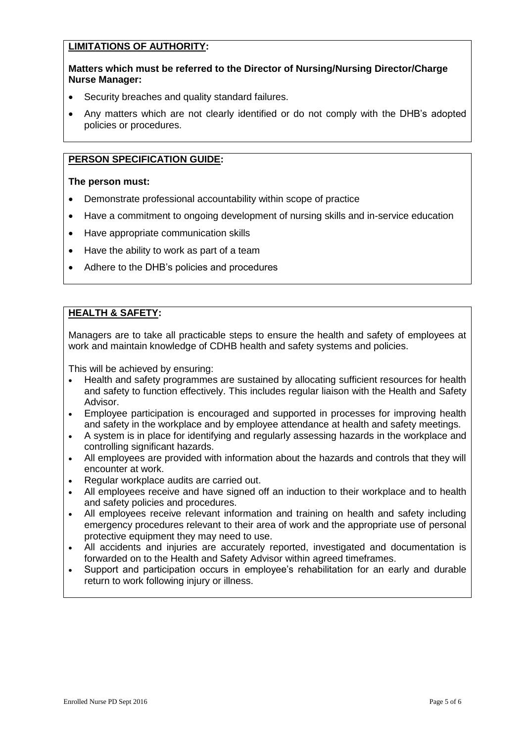# **LIMITATIONS OF AUTHORITY:**

## **Matters which must be referred to the Director of Nursing/Nursing Director/Charge Nurse Manager:**

- Security breaches and quality standard failures.
- Any matters which are not clearly identified or do not comply with the DHB's adopted policies or procedures.

## **PERSON SPECIFICATION GUIDE:**

#### **The person must:**

- Demonstrate professional accountability within scope of practice
- Have a commitment to ongoing development of nursing skills and in-service education
- Have appropriate communication skills
- Have the ability to work as part of a team
- Adhere to the DHB's policies and procedures

# **HEALTH & SAFETY:**

Managers are to take all practicable steps to ensure the health and safety of employees at work and maintain knowledge of CDHB health and safety systems and policies.

This will be achieved by ensuring:

- Health and safety programmes are sustained by allocating sufficient resources for health and safety to function effectively. This includes regular liaison with the Health and Safety Advisor.
- Employee participation is encouraged and supported in processes for improving health and safety in the workplace and by employee attendance at health and safety meetings.
- A system is in place for identifying and regularly assessing hazards in the workplace and controlling significant hazards.
- All employees are provided with information about the hazards and controls that they will encounter at work.
- Regular workplace audits are carried out.
- All employees receive and have signed off an induction to their workplace and to health and safety policies and procedures.
- All employees receive relevant information and training on health and safety including emergency procedures relevant to their area of work and the appropriate use of personal protective equipment they may need to use.
- All accidents and injuries are accurately reported, investigated and documentation is forwarded on to the Health and Safety Advisor within agreed timeframes.
- Support and participation occurs in employee's rehabilitation for an early and durable return to work following injury or illness.